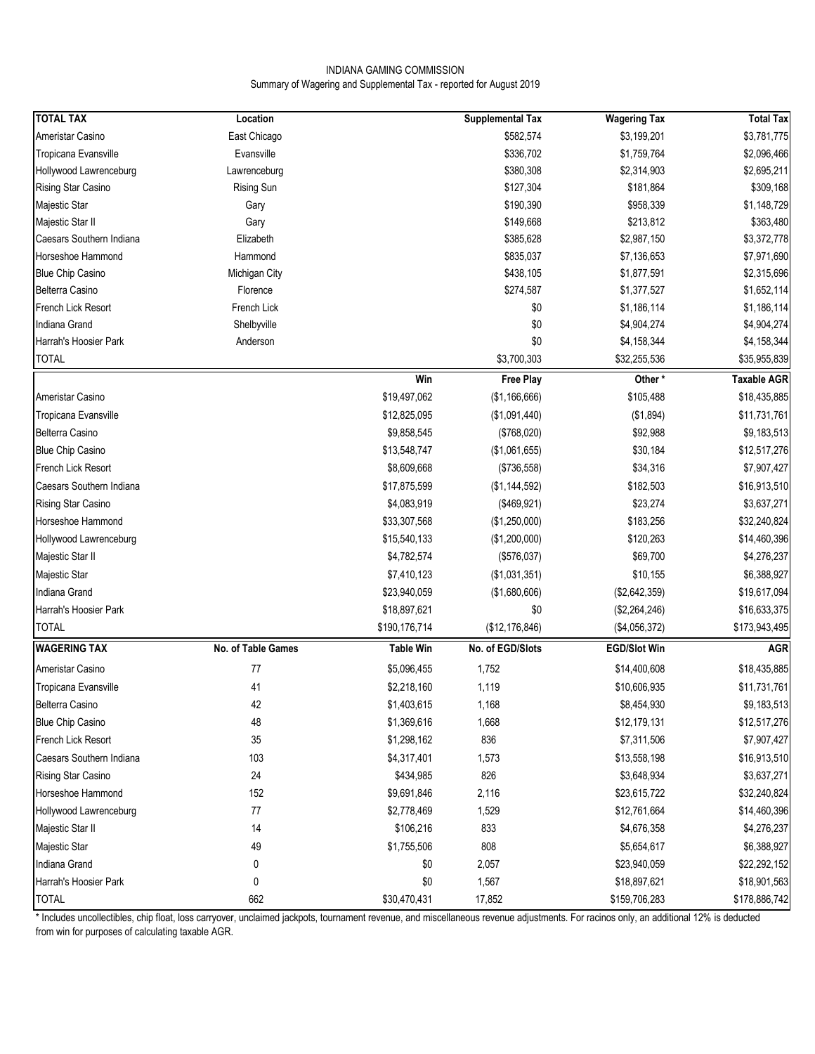### INDIANA GAMING COMMISSION Summary of Wagering and Supplemental Tax - reported for August 2019

| <b>TOTAL TAX</b>         | Location           |                  | <b>Supplemental Tax</b> | <b>Wagering Tax</b> | <b>Total Tax</b>   |
|--------------------------|--------------------|------------------|-------------------------|---------------------|--------------------|
| Ameristar Casino         | East Chicago       |                  | \$582,574               | \$3,199,201         | \$3,781,775        |
| Tropicana Evansville     | Evansville         |                  | \$336,702               | \$1,759,764         | \$2,096,466        |
| Hollywood Lawrenceburg   | Lawrenceburg       |                  | \$380,308               | \$2,314,903         | \$2,695,211        |
| Rising Star Casino       | <b>Rising Sun</b>  |                  | \$127,304               | \$181,864           | \$309,168          |
| Majestic Star            | Gary               |                  | \$190,390               | \$958,339           | \$1,148,729        |
| Majestic Star II         | Gary               |                  | \$149,668               | \$213,812           | \$363,480          |
| Caesars Southern Indiana | Elizabeth          |                  | \$385,628               | \$2,987,150         | \$3,372,778        |
| Horseshoe Hammond        | Hammond            |                  | \$835,037               | \$7,136,653         | \$7,971,690        |
| <b>Blue Chip Casino</b>  | Michigan City      |                  | \$438,105               | \$1,877,591         | \$2,315,696        |
| <b>Belterra Casino</b>   | Florence           |                  | \$274,587               | \$1,377,527         | \$1,652,114        |
| French Lick Resort       | French Lick        |                  | \$0                     | \$1,186,114         | \$1,186,114        |
| Indiana Grand            | Shelbyville        |                  | \$0                     | \$4,904,274         | \$4,904,274        |
| Harrah's Hoosier Park    | Anderson           |                  | \$0                     | \$4,158,344         | \$4,158,344        |
| <b>TOTAL</b>             |                    |                  | \$3,700,303             | \$32,255,536        | \$35,955,839       |
|                          |                    | Win              | <b>Free Play</b>        | Other*              | <b>Taxable AGR</b> |
| Ameristar Casino         |                    | \$19,497,062     | (\$1,166,666)           | \$105,488           | \$18,435,885       |
| Tropicana Evansville     |                    | \$12,825,095     | (\$1,091,440)           | (\$1,894)           | \$11,731,761       |
| <b>Belterra Casino</b>   |                    | \$9,858,545      | (\$768,020)             | \$92,988            | \$9,183,513        |
| <b>Blue Chip Casino</b>  |                    | \$13,548,747     | (\$1,061,655)           | \$30,184            | \$12,517,276       |
| French Lick Resort       |                    | \$8,609,668      | (\$736,558)             | \$34,316            | \$7,907,427        |
| Caesars Southern Indiana |                    | \$17,875,599     | (\$1,144,592)           | \$182,503           | \$16,913,510       |
| Rising Star Casino       |                    | \$4,083,919      | (\$469,921)             | \$23,274            | \$3,637,271        |
| Horseshoe Hammond        |                    | \$33,307,568     | (\$1,250,000)           | \$183,256           | \$32,240,824       |
| Hollywood Lawrenceburg   |                    | \$15,540,133     | (\$1,200,000)           | \$120,263           | \$14,460,396       |
| Majestic Star II         |                    | \$4,782,574      | (\$576,037)             | \$69,700            | \$4,276,237        |
| Majestic Star            |                    | \$7,410,123      | (\$1,031,351)           | \$10,155            | \$6,388,927        |
| Indiana Grand            |                    | \$23,940,059     | (\$1,680,606)           | (\$2,642,359)       | \$19,617,094       |
| Harrah's Hoosier Park    |                    | \$18,897,621     | \$0                     | (\$2,264,246)       | \$16,633,375       |
| <b>TOTAL</b>             |                    | \$190,176,714    | (\$12, 176, 846)        | (\$4,056,372)       | \$173,943,495      |
| <b>WAGERING TAX</b>      | No. of Table Games | <b>Table Win</b> | No. of EGD/Slots        | <b>EGD/Slot Win</b> | <b>AGR</b>         |
|                          |                    |                  |                         |                     |                    |
| Ameristar Casino         | 77                 | \$5,096,455      | 1,752                   | \$14,400,608        | \$18,435,885       |
| Tropicana Evansville     | 41                 | \$2,218,160      | 1,119                   | \$10,606,935        | \$11,731,761       |
| Belterra Casino          | 42                 | \$1,403,615      | 1,168                   | \$8,454,930         | \$9,183,513        |
| <b>Blue Chip Casino</b>  | 48                 | \$1,369,616      | 1,668                   | \$12,179,131        | \$12,517,276       |
| French Lick Resort       | 35                 | \$1,298,162      | 836                     | \$7,311,506         | \$7,907,427        |
| Caesars Southern Indiana | 103                | \$4,317,401      | 1,573                   | \$13,558,198        | \$16,913,510       |
| Rising Star Casino       | 24                 | \$434,985        | 826                     | \$3,648,934         | \$3,637,271        |
| Horseshoe Hammond        | 152                | \$9,691,846      | 2,116                   | \$23,615,722        | \$32,240,824       |
| Hollywood Lawrenceburg   | $77 \,$            | \$2,778,469      | 1,529                   | \$12,761,664        | \$14,460,396       |
| Majestic Star II         | 14                 | \$106,216        | 833                     | \$4,676,358         | \$4,276,237        |
| Majestic Star            | 49                 | \$1,755,506      | 808                     | \$5,654,617         | \$6,388,927        |
| Indiana Grand            | 0                  | \$0              | 2,057                   | \$23,940,059        | \$22,292,152       |
| Harrah's Hoosier Park    | 0                  | \$0              | 1,567                   | \$18,897,621        | \$18,901,563       |
| <b>TOTAL</b>             | 662                | \$30,470,431     | 17,852                  | \$159,706,283       | \$178,886,742      |

\* Includes uncollectibles, chip float, loss carryover, unclaimed jackpots, tournament revenue, and miscellaneous revenue adjustments. For racinos only, an additional 12% is deducted from win for purposes of calculating taxable AGR.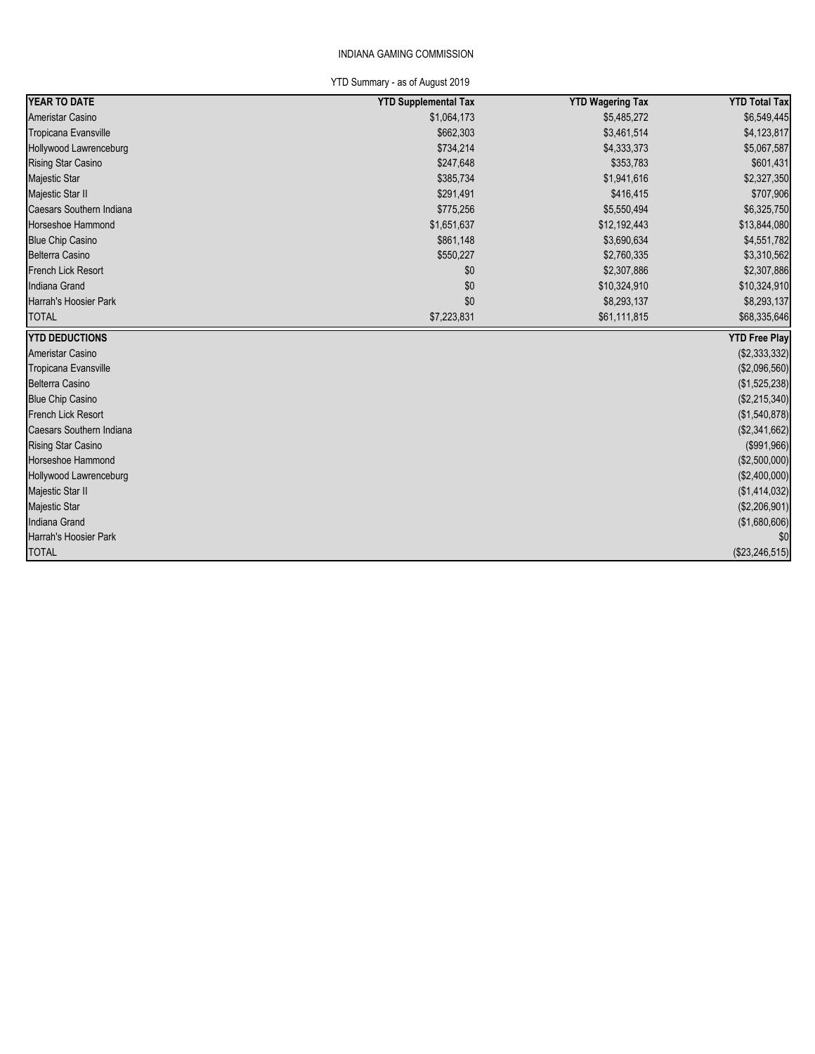### INDIANA GAMING COMMISSION

YTD Summary - as of August 2019

| YEAR TO DATE              | <b>YTD Supplemental Tax</b> | <b>YTD Wagering Tax</b> | <b>YTD Total Tax</b> |
|---------------------------|-----------------------------|-------------------------|----------------------|
| Ameristar Casino          | \$1,064,173                 | \$5,485,272             | \$6,549,445          |
| Tropicana Evansville      | \$662,303                   | \$3,461,514             | \$4,123,817          |
| Hollywood Lawrenceburg    | \$734,214                   | \$4,333,373             | \$5,067,587          |
| Rising Star Casino        | \$247,648                   | \$353,783               | \$601,431            |
| Majestic Star             | \$385,734                   | \$1,941,616             | \$2,327,350          |
| Majestic Star II          | \$291,491                   | \$416,415               | \$707,906            |
| Caesars Southern Indiana  | \$775,256                   | \$5,550,494             | \$6,325,750          |
| Horseshoe Hammond         | \$1,651,637                 | \$12,192,443            | \$13,844,080         |
| <b>Blue Chip Casino</b>   | \$861,148                   | \$3,690,634             | \$4,551,782          |
| <b>Belterra Casino</b>    | \$550,227                   | \$2,760,335             | \$3,310,562          |
| <b>French Lick Resort</b> | \$0                         | \$2,307,886             | \$2,307,886          |
| Indiana Grand             | \$0                         | \$10,324,910            | \$10,324,910         |
| Harrah's Hoosier Park     | \$0                         | \$8,293,137             | \$8,293,137          |
| <b>TOTAL</b>              | \$7,223,831                 | \$61,111,815            | \$68,335,646         |
| <b>YTD DEDUCTIONS</b>     |                             |                         | <b>YTD Free Play</b> |
| Ameristar Casino          |                             |                         | (\$2,333,332)        |
| Tropicana Evansville      |                             |                         | (\$2,096,560)        |
| <b>Belterra Casino</b>    |                             |                         | (\$1,525,238)        |
| <b>Blue Chip Casino</b>   |                             |                         | (\$2,215,340)        |
| <b>French Lick Resort</b> |                             |                         | (\$1,540,878)        |
| Caesars Southern Indiana  |                             |                         | (\$2,341,662)        |
| <b>Rising Star Casino</b> |                             |                         | (\$991,966)          |
| Horseshoe Hammond         |                             |                         | (\$2,500,000)        |
| Hollywood Lawrenceburg    |                             |                         | (\$2,400,000)        |
| Majestic Star II          |                             |                         | (\$1,414,032)        |
| <b>Majestic Star</b>      |                             |                         | (\$2,206,901)        |
| <b>Indiana Grand</b>      |                             |                         | (\$1,680,606)        |
| Harrah's Hoosier Park     |                             |                         | \$0                  |
|                           |                             |                         |                      |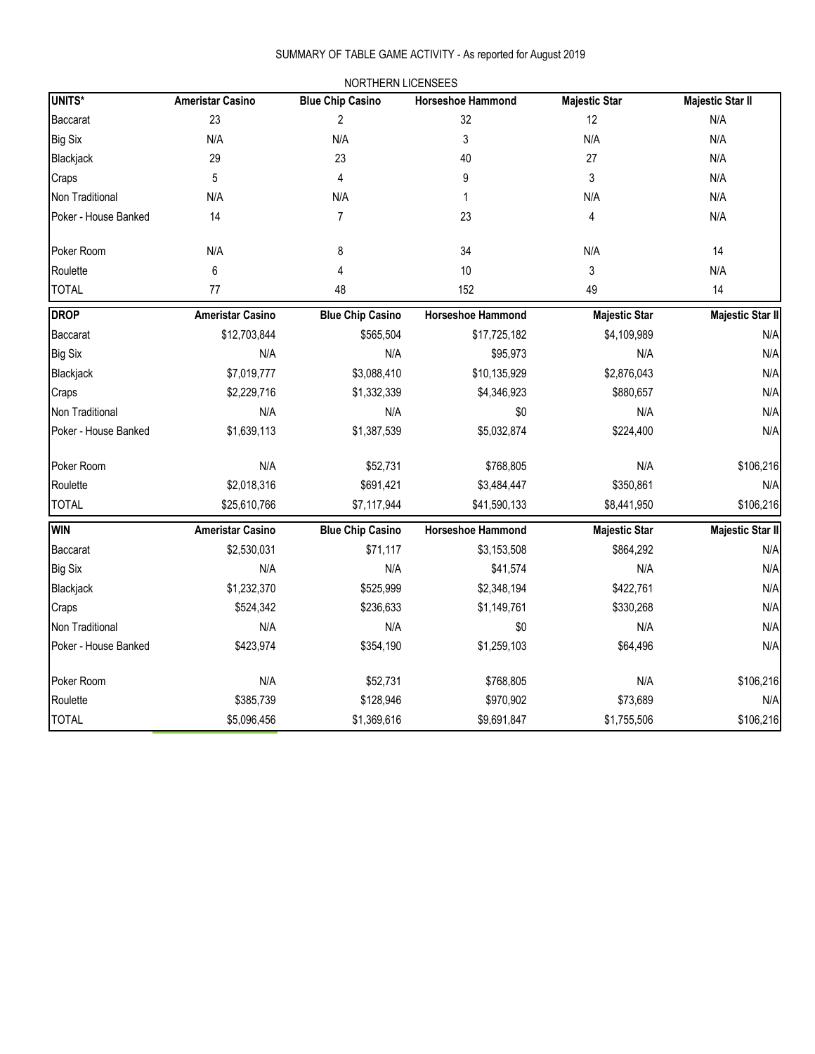# SUMMARY OF TABLE GAME ACTIVITY - As reported for August 2019

|                      |                         | NORTHERN LICENSEES      |                          |                      |                         |
|----------------------|-------------------------|-------------------------|--------------------------|----------------------|-------------------------|
| <b>UNITS*</b>        | <b>Ameristar Casino</b> | <b>Blue Chip Casino</b> | <b>Horseshoe Hammond</b> | <b>Majestic Star</b> | <b>Majestic Star II</b> |
| <b>Baccarat</b>      | 23                      | 2                       | 32                       | 12                   | N/A                     |
| <b>Big Six</b>       | N/A                     | N/A                     | 3                        | N/A                  | N/A                     |
| Blackjack            | 29                      | 23                      | 40                       | 27                   | N/A                     |
| Craps                | 5                       | 4                       | 9                        | 3                    | N/A                     |
| Non Traditional      | N/A                     | N/A                     | 1                        | N/A                  | N/A                     |
| Poker - House Banked | 14                      | 7                       | 23                       | 4                    | N/A                     |
| Poker Room           | N/A                     | 8                       | 34                       | N/A                  | 14                      |
| Roulette             | 6                       | 4                       | 10                       | 3                    | N/A                     |
| <b>TOTAL</b>         | 77                      | 48                      | 152                      | 49                   | 14                      |
| <b>DROP</b>          | <b>Ameristar Casino</b> | <b>Blue Chip Casino</b> | <b>Horseshoe Hammond</b> | <b>Majestic Star</b> | <b>Majestic Star II</b> |
| Baccarat             | \$12,703,844            | \$565,504               | \$17,725,182             | \$4,109,989          | N/A                     |
| <b>Big Six</b>       | N/A                     | N/A                     | \$95,973                 | N/A                  | N/A                     |
| Blackjack            | \$7,019,777             | \$3,088,410             | \$10,135,929             | \$2,876,043          | N/A                     |
| Craps                | \$2,229,716             | \$1,332,339             | \$4,346,923              | \$880,657            | N/A                     |
| Non Traditional      | N/A                     | N/A                     | \$0                      | N/A                  | N/A                     |
| Poker - House Banked | \$1,639,113             | \$1,387,539             | \$5,032,874              | \$224,400            | N/A                     |
| Poker Room           | N/A                     | \$52,731                | \$768,805                | N/A                  | \$106,216               |
| Roulette             | \$2,018,316             | \$691,421               | \$3,484,447              | \$350,861            | N/A                     |
| <b>TOTAL</b>         | \$25,610,766            | \$7,117,944             | \$41,590,133             | \$8,441,950          | \$106,216               |
| <b>WIN</b>           | <b>Ameristar Casino</b> | <b>Blue Chip Casino</b> | Horseshoe Hammond        | <b>Majestic Star</b> | <b>Majestic Star II</b> |
| Baccarat             | \$2,530,031             | \$71,117                | \$3,153,508              | \$864,292            | N/A                     |
| <b>Big Six</b>       | N/A                     | N/A                     | \$41,574                 | N/A                  | N/A                     |
| Blackjack            | \$1,232,370             | \$525,999               | \$2,348,194              | \$422,761            | N/A                     |
| Craps                | \$524,342               | \$236,633               | \$1,149,761              | \$330,268            | N/A                     |
| Non Traditional      | N/A                     | N/A                     | \$0                      | N/A                  | N/A                     |
| Poker - House Banked | \$423,974               | \$354,190               | \$1,259,103              | \$64,496             | N/A                     |
| Poker Room           | N/A                     | \$52,731                | \$768,805                | N/A                  | \$106,216               |
| Roulette             | \$385,739               | \$128,946               | \$970,902                | \$73,689             | N/A                     |
| <b>TOTAL</b>         | \$5,096,456             | \$1,369,616             | \$9,691,847              | \$1,755,506          | \$106,216               |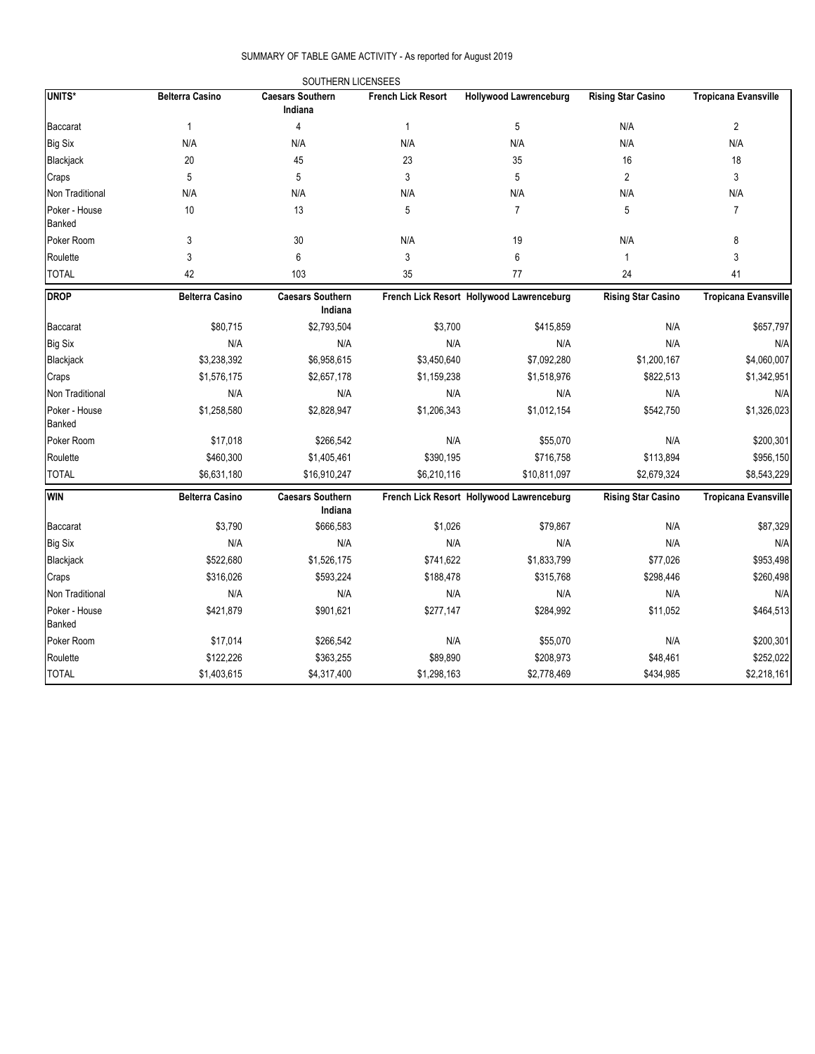### SUMMARY OF TABLE GAME ACTIVITY - As reported for August 2019

|                         |                        | SOUTHERN LICENSEES                 |                           |                                           |                           |                             |
|-------------------------|------------------------|------------------------------------|---------------------------|-------------------------------------------|---------------------------|-----------------------------|
| UNITS*                  | <b>Belterra Casino</b> | <b>Caesars Southern</b><br>Indiana | <b>French Lick Resort</b> | <b>Hollywood Lawrenceburg</b>             | <b>Rising Star Casino</b> | <b>Tropicana Evansville</b> |
| <b>Baccarat</b>         | $\mathbf{1}$           | $\overline{4}$                     | $\mathbf{1}$              | $\mathbf 5$                               | N/A                       | $\overline{c}$              |
| <b>Big Six</b>          | N/A                    | N/A                                | N/A                       | N/A                                       | N/A                       | N/A                         |
| Blackjack               | 20                     | 45                                 | 23                        | 35                                        | 16                        | 18                          |
| Craps                   | 5                      | 5                                  | 3                         | 5                                         | $\overline{2}$            | 3                           |
| Non Traditional         | N/A                    | N/A                                | N/A                       | N/A                                       | N/A                       | N/A                         |
| Poker - House<br>Banked | 10                     | 13                                 | 5                         | $\overline{7}$                            | 5                         | $\overline{7}$              |
| Poker Room              | 3                      | 30                                 | N/A                       | 19                                        | N/A                       | 8                           |
| Roulette                | 3                      | 6                                  | 3                         | 6                                         | $\mathbf{1}$              | 3                           |
| <b>TOTAL</b>            | 42                     | 103                                | 35                        | 77                                        | 24                        | 41                          |
| <b>DROP</b>             | <b>Belterra Casino</b> | <b>Caesars Southern</b><br>Indiana |                           | French Lick Resort Hollywood Lawrenceburg | <b>Rising Star Casino</b> | <b>Tropicana Evansville</b> |
| <b>Baccarat</b>         | \$80,715               | \$2,793,504                        | \$3,700                   | \$415,859                                 | N/A                       | \$657,797                   |
| <b>Big Six</b>          | N/A                    | N/A                                | N/A                       | N/A                                       | N/A                       | N/A                         |
| Blackjack               | \$3,238,392            | \$6,958,615                        | \$3,450,640               | \$7,092,280                               | \$1,200,167               | \$4,060,007                 |
| Craps                   | \$1,576,175            | \$2,657,178                        | \$1,159,238               | \$1,518,976                               | \$822,513                 | \$1,342,951                 |
| Non Traditional         | N/A                    | N/A                                | N/A                       | N/A                                       | N/A                       | N/A                         |
| Poker - House<br>Banked | \$1,258,580            | \$2,828,947                        | \$1,206,343               | \$1,012,154                               | \$542,750                 | \$1,326,023                 |
| Poker Room              | \$17,018               | \$266,542                          | N/A                       | \$55,070                                  | N/A                       | \$200,301                   |
| Roulette                | \$460,300              | \$1,405,461                        | \$390,195                 | \$716,758                                 | \$113,894                 | \$956,150                   |
| <b>TOTAL</b>            | \$6,631,180            | \$16,910,247                       | \$6,210,116               | \$10,811,097                              | \$2,679,324               | \$8,543,229                 |
| <b>WIN</b>              | <b>Belterra Casino</b> | <b>Caesars Southern</b><br>Indiana |                           | French Lick Resort Hollywood Lawrenceburg | <b>Rising Star Casino</b> | <b>Tropicana Evansville</b> |
| <b>Baccarat</b>         | \$3,790                | \$666,583                          | \$1,026                   | \$79,867                                  | N/A                       | \$87,329                    |
| <b>Big Six</b>          | N/A                    | N/A                                | N/A                       | N/A                                       | N/A                       | N/A                         |
| Blackjack               | \$522,680              | \$1,526,175                        | \$741,622                 | \$1,833,799                               | \$77,026                  | \$953,498                   |
| Craps                   | \$316,026              | \$593,224                          | \$188,478                 | \$315,768                                 | \$298,446                 | \$260,498                   |
| Non Traditional         | N/A                    | N/A                                | N/A                       | N/A                                       | N/A                       | N/A                         |
| Poker - House<br>Banked | \$421,879              | \$901,621                          | \$277,147                 | \$284,992                                 | \$11,052                  | \$464,513                   |
| Poker Room              | \$17,014               | \$266,542                          | N/A                       | \$55,070                                  | N/A                       | \$200,301                   |
| Roulette                | \$122,226              | \$363,255                          | \$89,890                  | \$208,973                                 | \$48,461                  | \$252,022                   |
| <b>TOTAL</b>            | \$1,403,615            | \$4,317,400                        | \$1,298,163               | \$2,778,469                               | \$434,985                 | \$2,218,161                 |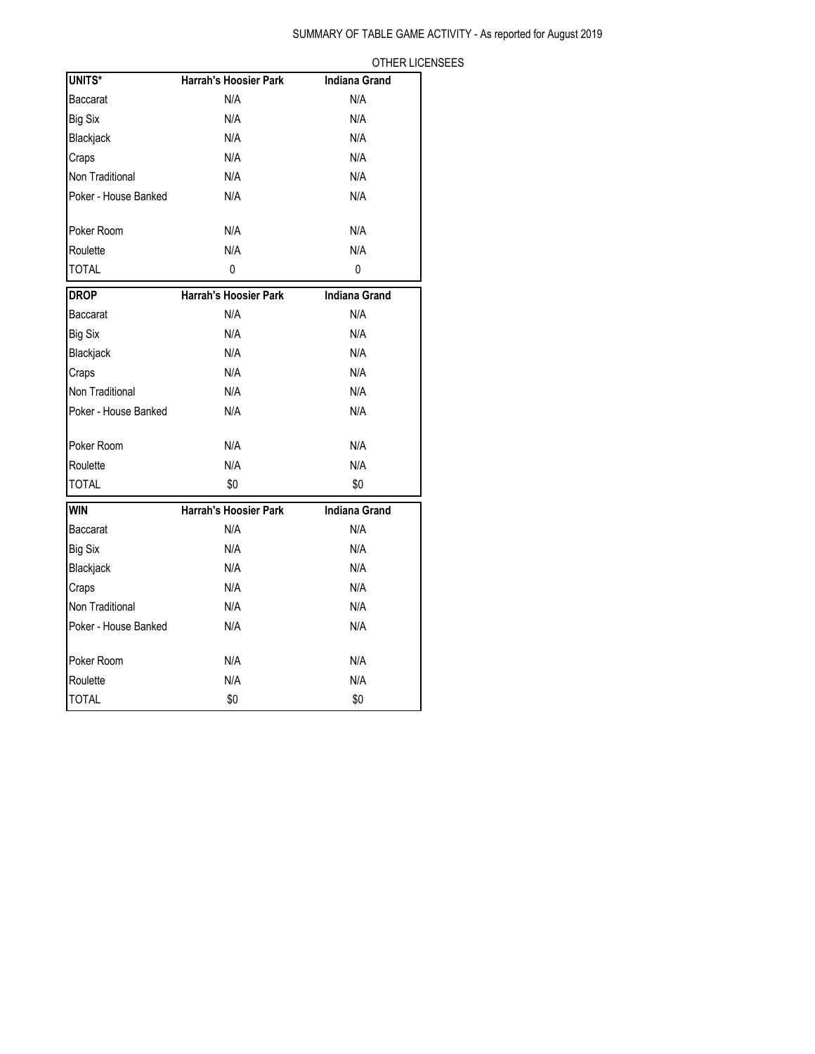# SUMMARY OF TABLE GAME ACTIVITY - As reported for August 2019

|--|

| UNITS*               | Harrah's Hoosier Park        | <b>Indiana Grand</b> |
|----------------------|------------------------------|----------------------|
| Baccarat             | N/A                          | N/A                  |
| <b>Big Six</b>       | N/A                          | N/A                  |
| Blackjack            | N/A                          | N/A                  |
| Craps                | N/A                          | N/A                  |
| Non Traditional      | N/A                          | N/A                  |
| Poker - House Banked | N/A                          | N/A                  |
| Poker Room           | N/A                          | N/A                  |
| Roulette             | N/A                          | N/A                  |
| <b>TOTAL</b>         | 0                            | 0                    |
| <b>DROP</b>          | <b>Harrah's Hoosier Park</b> | <b>Indiana Grand</b> |
| Baccarat             | N/A                          | N/A                  |
| <b>Big Six</b>       | N/A                          | N/A                  |
| Blackjack            | N/A                          | N/A                  |
| Craps                | N/A                          | N/A                  |
| Non Traditional      | N/A                          | N/A                  |
| Poker - House Banked | N/A                          | N/A                  |
| Poker Room           | N/A                          | N/A                  |
| Roulette             | N/A                          | N/A                  |
| <b>TOTAL</b>         | \$0                          | \$0                  |
| <b>WIN</b>           | <b>Harrah's Hoosier Park</b> | <b>Indiana Grand</b> |
| Baccarat             | N/A                          | N/A                  |
| <b>Big Six</b>       | N/A                          | N/A                  |
| Blackjack            | N/A                          | N/A                  |
| Craps                | N/A                          | N/A                  |
| Non Traditional      | N/A                          | N/A                  |
| Poker - House Banked | N/A                          | N/A                  |
| Poker Room           | N/A                          | N/A                  |
| Roulette             | N/A                          | N/A                  |
| <b>TOTAL</b>         | \$0                          | \$0                  |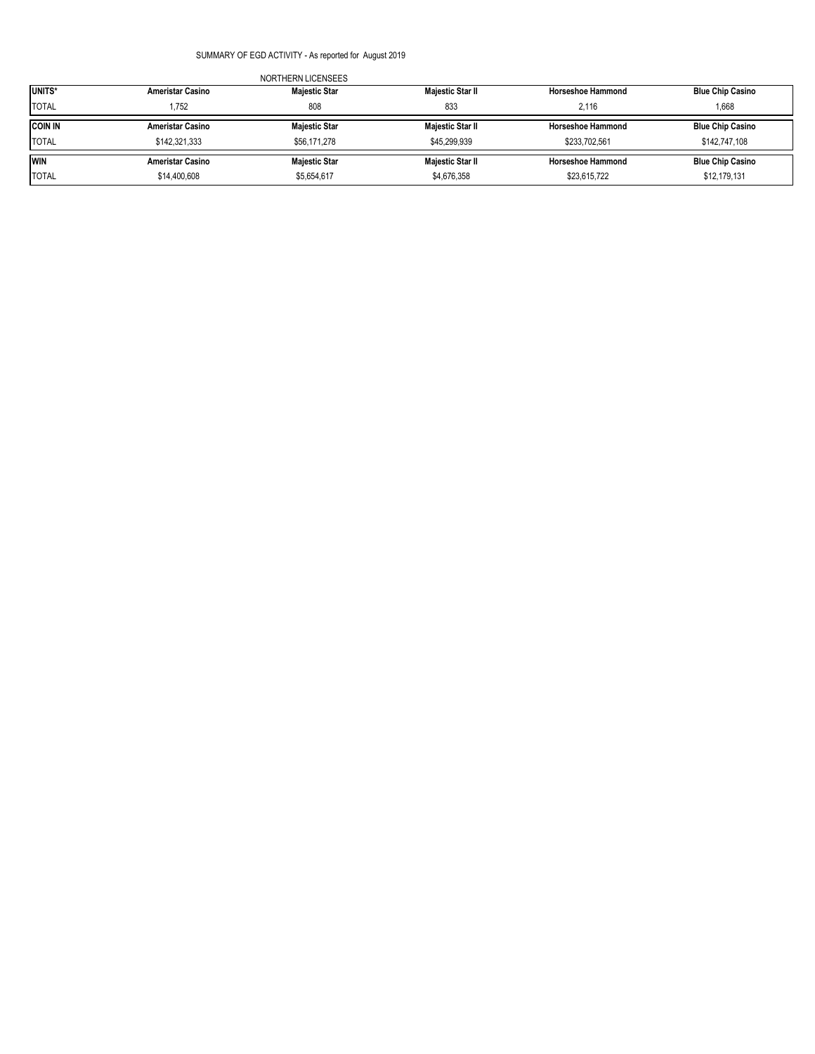### SUMMARY OF EGD ACTIVITY - As reported for August 2019

| UNITS*         | <b>Ameristar Casino</b> | <b>Majestic Star</b> | Majestic Star II | <b>Horseshoe Hammond</b> | <b>Blue Chip Casino</b> |
|----------------|-------------------------|----------------------|------------------|--------------------------|-------------------------|
| <b>TOTAL</b>   | .752                    | 808                  | 833              | 2.116                    | 1.668                   |
| <b>COIN IN</b> | <b>Ameristar Casino</b> | <b>Majestic Star</b> | Majestic Star II | <b>Horseshoe Hammond</b> | <b>Blue Chip Casino</b> |
| <b>TOTAL</b>   | \$142,321,333           | \$56,171,278         | \$45,299,939     | \$233.702.561            | \$142,747,108           |
| <b>WIN</b>     | <b>Ameristar Casino</b> | <b>Majestic Star</b> | Majestic Star II | <b>Horseshoe Hammond</b> | <b>Blue Chip Casino</b> |
| <b>TOTAL</b>   | \$14,400,608            | \$5,654,617          | \$4,676,358      | \$23,615,722             | \$12,179,131            |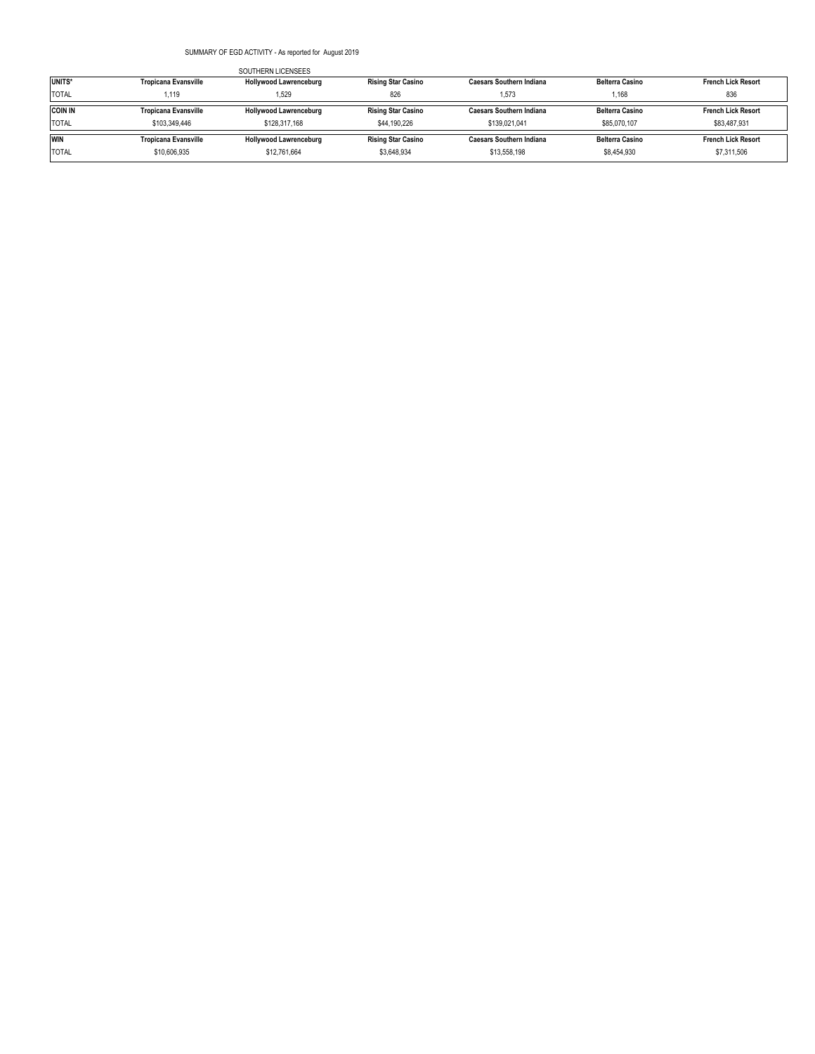### SUMMARY OF EGD ACTIVITY - As reported for August 2019

|                    |                             | SOUTHERN LICENSEES            |                           |                                 |                        |                           |
|--------------------|-----------------------------|-------------------------------|---------------------------|---------------------------------|------------------------|---------------------------|
| UNITS <sup>*</sup> | <b>Tropicana Evansville</b> | <b>Hollywood Lawrenceburg</b> | <b>Rising Star Casino</b> | Caesars Southern Indiana        | <b>Belterra Casino</b> | <b>French Lick Resort</b> |
| <b>TOTAL</b>       | 1,119                       | 1.529                         | 826                       | 1.573                           | 1.168                  | 836                       |
| <b>COIN IN</b>     | <b>Tropicana Evansville</b> | Hollywood Lawrenceburg        | <b>Rising Star Casino</b> | <b>Caesars Southern Indiana</b> | <b>Belterra Casino</b> | <b>French Lick Resort</b> |
| <b>TOTAL</b>       | \$103,349,446               | \$128,317,168                 | \$44,190,226              | \$139.021.041                   | \$85,070,107           | \$83,487,931              |
| <b>WIN</b>         | <b>Tropicana Evansville</b> | <b>Hollywood Lawrenceburg</b> | <b>Rising Star Casino</b> | <b>Caesars Southern Indiana</b> | <b>Belterra Casino</b> | <b>French Lick Resort</b> |
| <b>TOTAL</b>       | \$10,606,935                | \$12,761,664                  | \$3,648,934               | \$13,558,198                    | \$8,454,930            | \$7,311,506               |